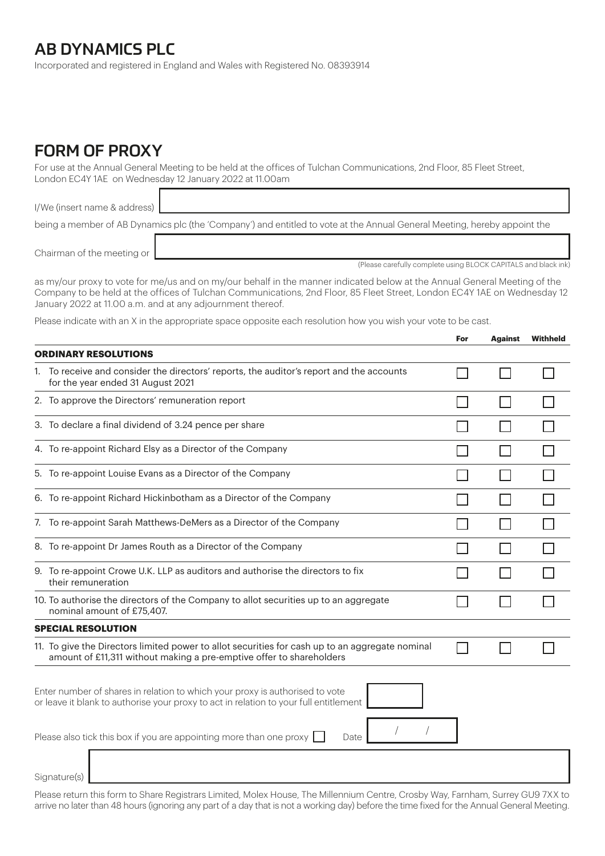## AB DYNAMICS PLC

Incorporated and registered in England and Wales with Registered No. 08393914

## FORM OF PROXY

For use at the Annual General Meeting to be held at the offices of Tulchan Communications, 2nd Floor, 85 Fleet Street, London EC4Y 1AE on Wednesday 12 January 2022 at 11.00am

I/We (insert name & address) being a member of AB Dynamics plc (the 'Company') and entitled to vote at the Annual General Meeting, hereby appoint the

Chairman of the meeting or

(Please carefully complete using BLOCK CAPITALS and black ink)

as my/our proxy to vote for me/us and on my/our behalf in the manner indicated below at the Annual General Meeting of the Company to be held at the offices of Tulchan Communications, 2nd Floor, 85 Fleet Street, London EC4Y 1AE on Wednesday 12 January 2022 at 11.00 a.m. and at any adjournment thereof.

Please indicate with an X in the appropriate space opposite each resolution how you wish your vote to be cast.

|                                                                                                                                                                       |                                                                                                                                                                         | For | <b>Against</b> | <b>Withheld</b> |  |
|-----------------------------------------------------------------------------------------------------------------------------------------------------------------------|-------------------------------------------------------------------------------------------------------------------------------------------------------------------------|-----|----------------|-----------------|--|
| <b>ORDINARY RESOLUTIONS</b>                                                                                                                                           |                                                                                                                                                                         |     |                |                 |  |
|                                                                                                                                                                       | 1. To receive and consider the directors' reports, the auditor's report and the accounts<br>for the year ended 31 August 2021                                           |     |                |                 |  |
|                                                                                                                                                                       | 2. To approve the Directors' remuneration report                                                                                                                        |     |                |                 |  |
|                                                                                                                                                                       | 3. To declare a final dividend of 3.24 pence per share                                                                                                                  |     |                |                 |  |
|                                                                                                                                                                       | 4. To re-appoint Richard Elsy as a Director of the Company                                                                                                              |     |                |                 |  |
|                                                                                                                                                                       | 5. To re-appoint Louise Evans as a Director of the Company                                                                                                              |     |                |                 |  |
|                                                                                                                                                                       | 6. To re-appoint Richard Hickinbotham as a Director of the Company                                                                                                      |     |                |                 |  |
|                                                                                                                                                                       | 7. To re-appoint Sarah Matthews-DeMers as a Director of the Company                                                                                                     |     |                |                 |  |
|                                                                                                                                                                       | 8. To re-appoint Dr James Routh as a Director of the Company                                                                                                            |     |                |                 |  |
|                                                                                                                                                                       | 9. To re-appoint Crowe U.K. LLP as auditors and authorise the directors to fix<br>their remuneration                                                                    |     |                |                 |  |
|                                                                                                                                                                       | 10. To authorise the directors of the Company to allot securities up to an aggregate<br>nominal amount of £75,407.                                                      |     |                |                 |  |
|                                                                                                                                                                       | <b>SPECIAL RESOLUTION</b>                                                                                                                                               |     |                |                 |  |
|                                                                                                                                                                       | 11. To give the Directors limited power to allot securities for cash up to an aggregate nominal<br>amount of £11,311 without making a pre-emptive offer to shareholders |     |                |                 |  |
| Enter number of shares in relation to which your proxy is authorised to vote<br>or leave it blank to authorise your proxy to act in relation to your full entitlement |                                                                                                                                                                         |     |                |                 |  |
|                                                                                                                                                                       | Please also tick this box if you are appointing more than one proxy $\left[ \right]$<br>Date                                                                            |     |                |                 |  |
|                                                                                                                                                                       |                                                                                                                                                                         |     |                |                 |  |
|                                                                                                                                                                       | Signature(s)                                                                                                                                                            |     |                |                 |  |

Please return this form to Share Registrars Limited, Molex House, The Millennium Centre, Crosby Way, Farnham, Surrey GU9 7XX to arrive no later than 48 hours (ignoring any part of a day that is not a working day) before the time fixed for the Annual General Meeting.